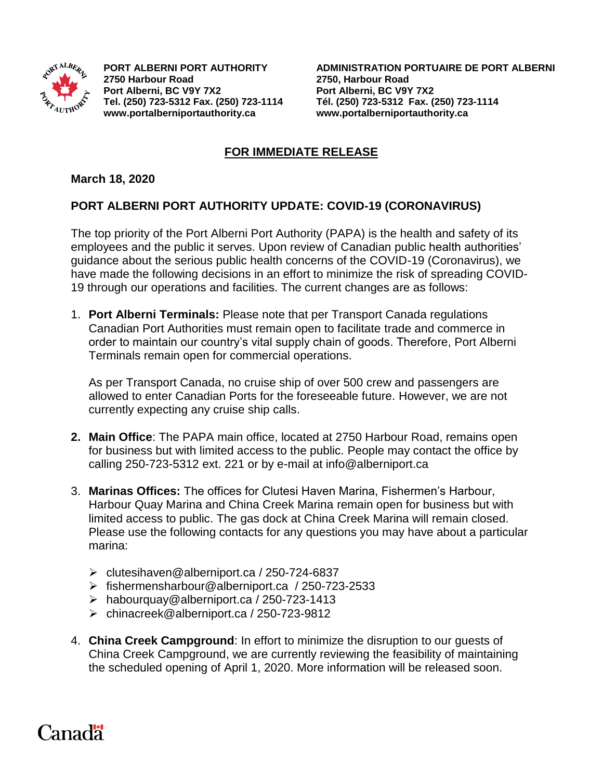

**2750 Harbour Road 2750, Harbour Road Port Alberni, BC V9Y 7X2 Port Alberni, BC V9Y 7X2 [www.portalberniportauthority.ca](http://www.portalberniportauthority.ca/) [www.portalberniportauthority.ca](http://www.portalberniportauthority.ca/)**

**PORT ALBERNI PORT AUTHORITY ADMINISTRATION PORTUAIRE DE PORT ALBERNI Tel. (250) 723-5312 Fax. (250) 723-1114 Tél. (250) 723-5312 Fax. (250) 723-1114**

## **FOR IMMEDIATE RELEASE**

## **March 18, 2020**

## **PORT ALBERNI PORT AUTHORITY UPDATE: COVID-19 (CORONAVIRUS)**

The top priority of the Port Alberni Port Authority (PAPA) is the health and safety of its employees and the public it serves. Upon review of Canadian public health authorities' guidance about the serious public health concerns of the COVID-19 (Coronavirus), we have made the following decisions in an effort to minimize the risk of spreading COVID-19 through our operations and facilities. The current changes are as follows:

1. **Port Alberni Terminals:** Please note that per Transport Canada regulations Canadian Port Authorities must remain open to facilitate trade and commerce in order to maintain our country's vital supply chain of goods. Therefore, Port Alberni Terminals remain open for commercial operations.

As per Transport Canada, no cruise ship of over 500 crew and passengers are allowed to enter Canadian Ports for the foreseeable future. However, we are not currently expecting any cruise ship calls.

- **2. Main Office**: The PAPA main office, located at 2750 Harbour Road, remains open for business but with limited access to the public. People may contact the office by calling 250-723-5312 ext. 221 or by e-mail at info@alberniport.ca
- 3. **Marinas Offices:** The offices for Clutesi Haven Marina, Fishermen's Harbour, Harbour Quay Marina and China Creek Marina remain open for business but with limited access to public. The gas dock at China Creek Marina will remain closed. Please use the following contacts for any questions you may have about a particular marina:
	- $\triangleright$  [clutesihaven@alberniport.ca](mailto:clutesihaven@alberniport.ca) / 250-724-6837
	- [fishermensharbour@alberniport.ca](mailto:fishermensharbour@alberniport.ca) / 250-723-2533
	- [habourquay@alberniport.ca](mailto:habourquay@alberniport.ca) / 250-723-1413
	- [chinacreek@alberniport.ca](mailto:chinacreek@alberniport.ca) / 250-723-9812
- 4. **China Creek Campground**: In effort to minimize the disruption to our guests of China Creek Campground, we are currently reviewing the feasibility of maintaining the scheduled opening of April 1, 2020. More information will be released soon.